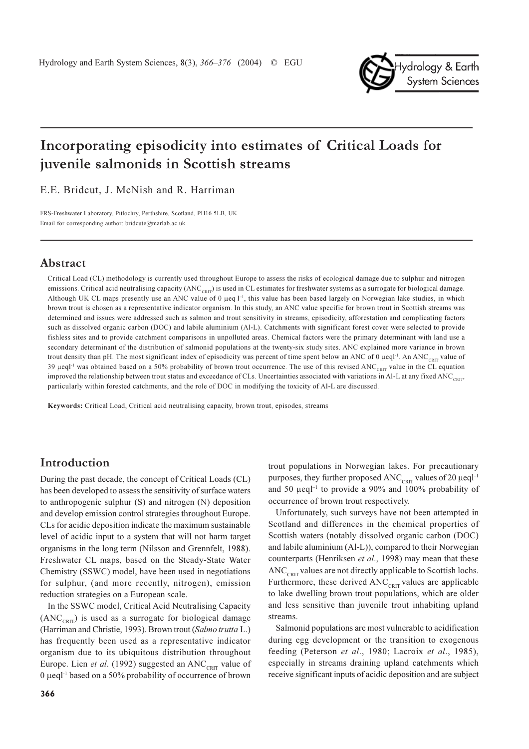

# Incorporating episodicity into estimates of Critical Loads for juvenile salmonids in Scottish streams

E.E. Bridcut, J. McNish and R. Harriman

FRS-Freshwater Laboratory, Pitlochry, Perthshire, Scotland, PH16 5LB, UK Email for corresponding author: bridcute@marlab.ac.uk

## Abstract

Critical Load (CL) methodology is currently used throughout Europe to assess the risks of ecological damage due to sulphur and nitrogen emissions. Critical acid neutralising capacity ( $ANC_{C_{\text{PIT}}}$ ) is used in CL estimates for freshwater systems as a surrogate for biological damage. Although UK CL maps presently use an ANC value of 0  $\mu$ eq  $I^{-1}$ , this value has been based largely on Norwegian lake studies, in which brown trout is chosen as a representative indicator organism. In this study, an ANC value specific for brown trout in Scottish streams was determined and issues were addressed such as salmon and trout sensitivity in streams, episodicity, afforestation and complicating factors such as dissolved organic carbon (DOC) and labile aluminium (Al-L). Catchments with significant forest cover were selected to provide fishless sites and to provide catchment comparisons in unpolluted areas. Chemical factors were the primary determinant with land use a secondary determinant of the distribution of salmonid populations at the twenty-six study sites. ANC explained more variance in brown trout density than pH. The most significant index of episodicity was percent of time spent below an ANC of 0  $\mu$ eql<sup>-1</sup>. An ANC<sub>CRIT</sub> value of 39 µeql<sup>-1</sup> was obtained based on a 50% probability of brown trout occurrence. The use of this revised  $\text{ANC}_{\text{CRT}}$  value in the CL equation improved the relationship between trout status and exceedance of CLs. Uncertainties associated with variations in Al-L at any fixed ANC<sub>CETT</sub>, particularly within forested catchments, and the role of DOC in modifying the toxicity of Al-L are discussed.

Keywords: Critical Load, Critical acid neutralising capacity, brown trout, episodes, streams

## Introduction

During the past decade, the concept of Critical Loads (CL) has been developed to assess the sensitivity of surface waters to anthropogenic sulphur (S) and nitrogen (N) deposition and develop emission control strategies throughout Europe. CLs for acidic deposition indicate the maximum sustainable level of acidic input to a system that will not harm target organisms in the long term (Nilsson and Grennfelt, 1988). Freshwater CL maps, based on the Steady-State Water Chemistry (SSWC) model, have been used in negotiations for sulphur, (and more recently, nitrogen), emission reduction strategies on a European scale.

In the SSWC model, Critical Acid Neutralising Capacity  $(ANC<sub>corr</sub>)$  is used as a surrogate for biological damage (Harriman and Christie, 1993). Brown trout (Salmo trutta L.) has frequently been used as a representative indicator organism due to its ubiquitous distribution throughout Europe. Lien et al. (1992) suggested an ANC<sub>CRIT</sub> value of 0 µeql<sup>-1</sup> based on a 50% probability of occurrence of brown

trout populations in Norwegian lakes. For precautionary purposes, they further proposed ANC<sub>CRIT</sub> values of 20  $\mu$ eql<sup>-1</sup> and 50  $\mu$ eql<sup>-1</sup> to provide a 90% and 100% probability of occurrence of brown trout respectively.

Unfortunately, such surveys have not been attempted in Scotland and differences in the chemical properties of Scottish waters (notably dissolved organic carbon (DOC) and labile aluminium (Al-L)), compared to their Norwegian counterparts (Henriksen et al., 1998) may mean that these ANC<sub>CRIT</sub> values are not directly applicable to Scottish lochs. Furthermore, these derived  $\text{ANC}_{\text{CRT}}$  values are applicable to lake dwelling brown trout populations, which are older and less sensitive than juvenile trout inhabiting upland streams.

Salmonid populations are most vulnerable to acidification during egg development or the transition to exogenous feeding (Peterson et al., 1980; Lacroix et al., 1985), especially in streams draining upland catchments which receive significant inputs of acidic deposition and are subject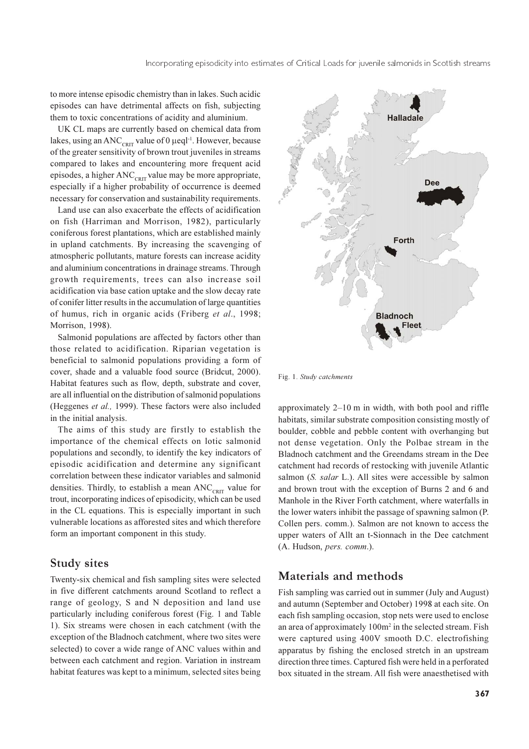to more intense episodic chemistry than in lakes. Such acidic episodes can have detrimental affects on fish, subjecting them to toxic concentrations of acidity and aluminium.

UK CL maps are currently based on chemical data from lakes, using an ANC<sub>CRIT</sub> value of 0 µeql<sup>-1</sup>. However, because of the greater sensitivity of brown trout juveniles in streams compared to lakes and encountering more frequent acid episodes, a higher  $\text{ANC}_{\text{cnrt}}$  value may be more appropriate, especially if a higher probability of occurrence is deemed necessary for conservation and sustainability requirements.

Land use can also exacerbate the effects of acidification on fish (Harriman and Morrison, 1982), particularly coniferous forest plantations, which are established mainly in upland catchments. By increasing the scavenging of atmospheric pollutants, mature forests can increase acidity and aluminium concentrations in drainage streams. Through growth requirements, trees can also increase soil acidification via base cation uptake and the slow decay rate of conifer litter results in the accumulation of large quantities of humus, rich in organic acids (Friberg et al., 1998; Morrison, 1998).

Salmonid populations are affected by factors other than those related to acidification. Riparian vegetation is beneficial to salmonid populations providing a form of cover, shade and a valuable food source (Bridcut, 2000). Habitat features such as flow, depth, substrate and cover, are all influential on the distribution of salmonid populations (Heggenes *et al.*, 1999). These factors were also included in the initial analysis.

The aims of this study are firstly to establish the importance of the chemical effects on lotic salmonid populations and secondly, to identify the key indicators of episodic acidification and determine any significant correlation between these indicator variables and salmonid densities. Thirdly, to establish a mean  $\text{ANC}_{\text{CRT}}$  value for trout, incorporating indices of episodicity, which can be used in the CL equations. This is especially important in such vulnerable locations as afforested sites and which therefore form an important component in this study.

#### **Study sites**

Twenty-six chemical and fish sampling sites were selected in five different catchments around Scotland to reflect a range of geology, S and N deposition and land use particularly including coniferous forest (Fig. 1 and Table 1). Six streams were chosen in each catchment (with the exception of the Bladnoch catchment, where two sites were selected) to cover a wide range of ANC values within and between each catchment and region. Variation in instream habitat features was kept to a minimum, selected sites being



Fig. 1. Study catchments

approximately  $2-10$  m in width, with both pool and riffle habitats, similar substrate composition consisting mostly of boulder, cobble and pebble content with overhanging but not dense vegetation. Only the Polbae stream in the Bladnoch catchment and the Greendams stream in the Dee catchment had records of restocking with juvenile Atlantic salmon (S. salar L.). All sites were accessible by salmon and brown trout with the exception of Burns 2 and 6 and Manhole in the River Forth catchment, where waterfalls in the lower waters inhibit the passage of spawning salmon (P. Collen pers. comm.). Salmon are not known to access the upper waters of Allt an t-Sionnach in the Dee catchment (A. Hudson, pers. comm.).

### Materials and methods

Fish sampling was carried out in summer (July and August) and autumn (September and October) 1998 at each site. On each fish sampling occasion, stop nets were used to enclose an area of approximately 100m<sup>2</sup> in the selected stream. Fish were captured using 400V smooth D.C. electrofishing apparatus by fishing the enclosed stretch in an upstream direction three times. Captured fish were held in a perforated box situated in the stream. All fish were anaesthetised with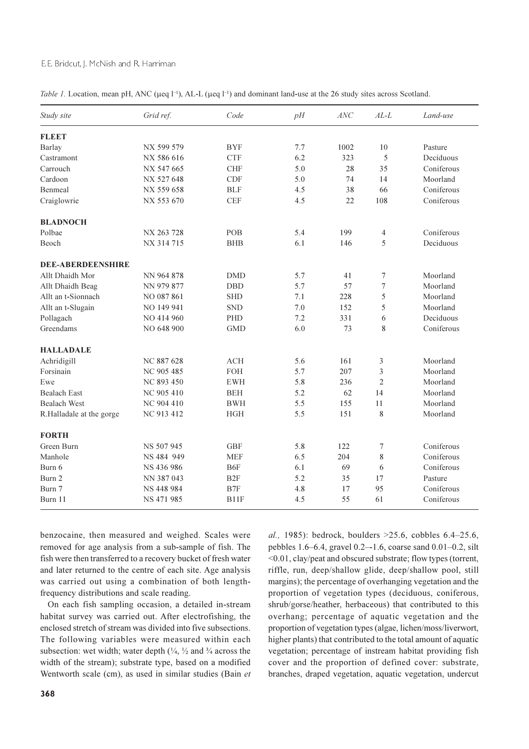#### E.E. Bridcut, J. McNish and R. Harriman

Table 1. Location, mean pH, ANC ( $\mu$ eq l<sup>-1</sup>), AL-L ( $\mu$ eq l<sup>-1</sup>) and dominant land-use at the 26 study sites across Scotland.

| Study site               | Grid ref.         |                 | pH  | $\mathcal{A}NC$ | $AL-L$           | Land-use   |  |
|--------------------------|-------------------|-----------------|-----|-----------------|------------------|------------|--|
| <b>FLEET</b>             |                   |                 |     |                 |                  |            |  |
| Barlay                   | NX 599 579        | <b>BYF</b>      | 7.7 | 1002            | 10               | Pasture    |  |
| Castramont               | NX 586 616        | <b>CTF</b>      | 6.2 | 323             | 5                | Deciduous  |  |
| Carrouch                 | NX 547 665        | <b>CHF</b>      | 5.0 | 28              | 35               | Coniferous |  |
| Cardoon                  | NX 527 648        | <b>CDF</b>      | 5.0 | 74              | 14               | Moorland   |  |
| Benmeal                  | NX 559 658        | <b>BLF</b>      | 4.5 | 38              | 66               | Coniferous |  |
| Craiglowrie              | NX 553 670        | CEF             | 4.5 | 22              | 108              | Coniferous |  |
| <b>BLADNOCH</b>          |                   |                 |     |                 |                  |            |  |
| Polbae                   | NX 263 728        | POB             | 5.4 | 199             | $\overline{4}$   | Coniferous |  |
| Beoch                    | NX 314 715        | <b>BHB</b>      | 6.1 | 146             | 5                | Deciduous  |  |
| <b>DEE-ABERDEENSHIRE</b> |                   |                 |     |                 |                  |            |  |
| Allt Dhaidh Mor          | NN 964 878        | <b>DMD</b>      | 5.7 | 41              | 7                | Moorland   |  |
| Allt Dhaidh Beag         | NN 979 877        | <b>DBD</b>      | 5.7 | 57              | $\boldsymbol{7}$ | Moorland   |  |
| Allt an t-Sionnach       | NO 087 861        | <b>SHD</b>      | 7.1 | 228             | 5                | Moorland   |  |
| Allt an t-Slugain        | NO 149 941        | <b>SND</b>      | 7.0 | 152             | 5                | Moorland   |  |
| Pollagach                | NO 414 960        | <b>PHD</b>      | 7.2 | 331             | 6                | Deciduous  |  |
| Greendams                | NO 648 900        | <b>GMD</b>      | 6.0 | 73              | 8                | Coniferous |  |
| <b>HALLADALE</b>         |                   |                 |     |                 |                  |            |  |
| Achridigill              | NC 887 628        | <b>ACH</b>      | 5.6 | 161             | 3                | Moorland   |  |
| Forsinain                | NC 905 485        | <b>FOH</b>      | 5.7 | 207             | 3                | Moorland   |  |
| Ewe                      | NC 893 450        | <b>EWH</b>      | 5.8 | 236             | $\overline{c}$   | Moorland   |  |
| <b>Bealach East</b>      | NC 905 410        | <b>BEH</b>      | 5.2 | 62              | 14               | Moorland   |  |
| <b>Bealach West</b>      | <b>NC 904 410</b> | <b>BWH</b>      | 5.5 | 155             | 11               | Moorland   |  |
| R.Halladale at the gorge | NC 913 412        | <b>HGH</b>      | 5.5 | 151             | $\,$ 8 $\,$      | Moorland   |  |
| <b>FORTH</b>             |                   |                 |     |                 |                  |            |  |
| Green Burn               | NS 507 945        | <b>GBF</b>      | 5.8 | 122             | 7                | Coniferous |  |
| Manhole                  | NS 484 949        | <b>MEF</b>      | 6.5 | 204             | 8                | Coniferous |  |
| Burn 6                   | NS 436 986        | B6F             | 6.1 | 69              | 6                | Coniferous |  |
| Burn 2                   | NN 387 043        | B <sub>2F</sub> | 5.2 | 35              | 17               | Pasture    |  |
| Burn 7                   | NS 448 984        | B7F             | 4.8 | 17              | 95               | Coniferous |  |
| Burn 11                  | NS 471 985        | B11F            | 4.5 | 55              | 61               | Coniferous |  |

benzocaine, then measured and weighed. Scales were removed for age analysis from a sub-sample of fish. The fish were then transferred to a recovery bucket of fresh water and later returned to the centre of each site. Age analysis was carried out using a combination of both lengthfrequency distributions and scale reading.

On each fish sampling occasion, a detailed in-stream habitat survey was carried out. After electrofishing, the enclosed stretch of stream was divided into five subsections. The following variables were measured within each subsection: wet width; water depth  $(\frac{1}{4}, \frac{1}{2})$  and  $\frac{3}{4}$  across the width of the stream); substrate type, based on a modified Wentworth scale (cm), as used in similar studies (Bain et

al., 1985): bedrock, boulders  $>25.6$ , cobbles 6.4-25.6, pebbles 1.6–6.4, gravel 0.2–1.6, coarse sand 0.01–0.2, silt <0.01, clay/peat and obscured substrate; flow types (torrent, riffle, run, deep/shallow glide, deep/shallow pool, still margins); the percentage of overhanging vegetation and the proportion of vegetation types (deciduous, coniferous, shrub/gorse/heather, herbaceous) that contributed to this overhang; percentage of aquatic vegetation and the proportion of vegetation types (algae, lichen/moss/liverwort, higher plants) that contributed to the total amount of aquatic vegetation; percentage of instream habitat providing fish cover and the proportion of defined cover: substrate, branches, draped vegetation, aquatic vegetation, undercut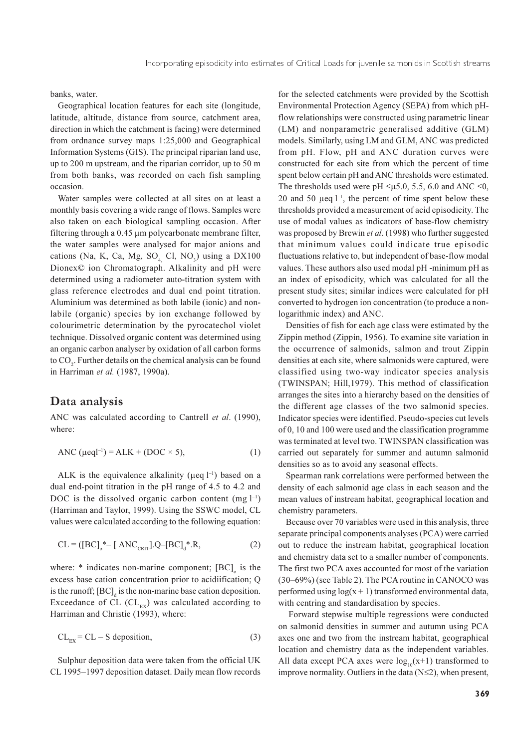banks, water.

Geographical location features for each site (longitude, latitude, altitude, distance from source, catchment area. direction in which the catchment is facing) were determined from ordnance survey maps 1:25,000 and Geographical Information Systems (GIS). The principal riparian land use. up to 200 m upstream, and the riparian corridor, up to 50 m from both banks, was recorded on each fish sampling occasion.

Water samples were collected at all sites on at least a monthly basis covering a wide range of flows. Samples were also taken on each biological sampling occasion. After filtering through a 0.45 µm polycarbonate membrane filter, the water samples were analysed for major anions and cations (Na, K, Ca, Mg, SO<sub>4</sub> Cl, NO<sub>3</sub>) using a DX100 Dionex© ion Chromatograph. Alkalinity and pH were determined using a radiometer auto-titration system with glass reference electrodes and dual end point titration. Aluminium was determined as both labile (ionic) and nonlabile (organic) species by ion exchange followed by colourimetric determination by the pyrocatechol violet technique. Dissolved organic content was determined using an organic carbon analyser by oxidation of all carbon forms to CO<sub>2</sub>. Further details on the chemical analysis can be found in Harriman et al. (1987, 1990a).

#### Data analysis

ANC was calculated according to Cantrell et al. (1990), where:

$$
ANC (\mu eq^{1-1}) = ALK + (DOC \times 5), \tag{1}
$$

ALK is the equivalence alkalinity ( $\mu$ eq  $l^{-1}$ ) based on a dual end-point titration in the pH range of 4.5 to 4.2 and DOC is the dissolved organic carbon content (mg  $l^{-1}$ ) (Harriman and Taylor, 1999). Using the SSWC model, CL values were calculated according to the following equation:

$$
CL = ([BC]_{0}^{*} - [ANC_{CRIT}].Q - [BC]_{d}^{*}.R,
$$
\n(2)

where:  $*$  indicates non-marine component;  $[BC]_0$  is the excess base cation concentration prior to acidiification; Q is the runoff; [BC], is the non-marine base cation deposition. Exceedance of CL  $(Cl_{rx})$  was calculated according to Harriman and Christie (1993), where:

$$
CL_{\text{EX}} = CL - S \text{ deposition},\tag{3}
$$

Sulphur deposition data were taken from the official UK CL 1995-1997 deposition dataset. Daily mean flow records

for the selected catchments were provided by the Scottish Environmental Protection Agency (SEPA) from which pHflow relationships were constructed using parametric linear (LM) and nonparametric generalised additive (GLM) models. Similarly, using LM and GLM, ANC was predicted from pH. Flow, pH and ANC duration curves were constructed for each site from which the percent of time spent below certain pH and ANC thresholds were estimated. The thresholds used were pH  $\leq \mu$ 5.0, 5.5, 6.0 and ANC  $\leq 0$ , 20 and 50  $\mu$ eq  $l^{-1}$ , the percent of time spent below these thresholds provided a measurement of acid episodicity. The use of modal values as indicators of base-flow chemistry was proposed by Brewin et al. (1998) who further suggested that minimum values could indicate true episodic fluctuations relative to, but independent of base-flow modal values. These authors also used modal pH -minimum pH as an index of episodicity, which was calculated for all the present study sites; similar indices were calculated for pH converted to hydrogen ion concentration (to produce a nonlogarithmic index) and ANC.

Densities of fish for each age class were estimated by the Zippin method (Zippin, 1956). To examine site variation in the occurrence of salmonids, salmon and trout Zippin densities at each site, where salmonids were captured, were classified using two-way indicator species analysis (TWINSPAN; Hill, 1979). This method of classification arranges the sites into a hierarchy based on the densities of the different age classes of the two salmonid species. Indicator species were identified. Pseudo-species cut levels of 0, 10 and 100 were used and the classification programme was terminated at level two. TWINSPAN classification was carried out separately for summer and autumn salmonid densities so as to avoid any seasonal effects.

Spearman rank correlations were performed between the density of each salmonid age class in each season and the mean values of instream habitat, geographical location and chemistry parameters.

Because over 70 variables were used in this analysis, three separate principal components analyses (PCA) were carried out to reduce the instream habitat, geographical location and chemistry data set to a smaller number of components. The first two PCA axes accounted for most of the variation (30–69%) (see Table 2). The PCA routine in CANOCO was performed using  $log(x + 1)$  transformed environmental data. with centring and standardisation by species.

Forward stepwise multiple regressions were conducted on salmonid densities in summer and autumn using PCA axes one and two from the instream habitat, geographical location and chemistry data as the independent variables. All data except PCA axes were  $log_{10}(x+1)$  transformed to improve normality. Outliers in the data  $(N \leq 2)$ , when present,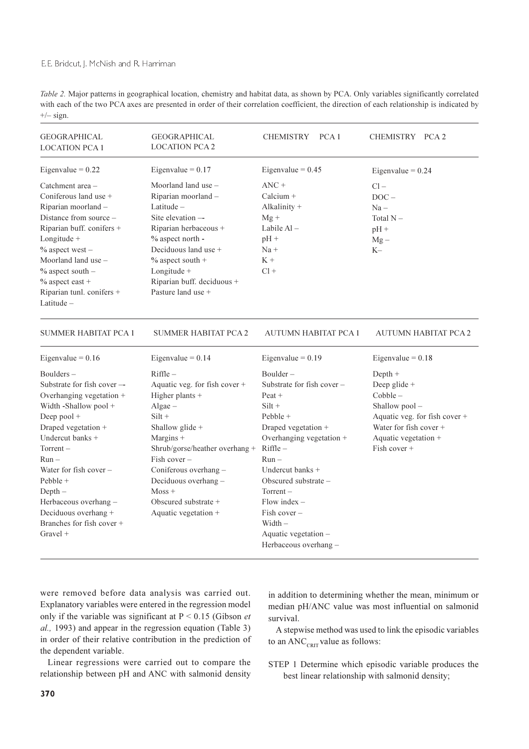Table 2. Major patterns in geographical location, chemistry and habitat data, as shown by PCA. Only variables significantly correlated with each of the two PCA axes are presented in order of their correlation coefficient, the direction of each relationship is indicated by  $+/-$  sign.

| <b>GEOGRAPHICAL</b><br><b>LOCATION PCA 1</b>                                                                                                                                                                                                                                                                                          | <b>GEOGRAPHICAL</b><br><b>LOCATION PCA 2</b>                                                                                                                                                                                                                                                 | <b>CHEMISTRY</b><br>PCA <sub>1</sub>                                                                                                                                                                                                                                                                                     | CHEMISTRY PCA 2                                                                                                                                                  |
|---------------------------------------------------------------------------------------------------------------------------------------------------------------------------------------------------------------------------------------------------------------------------------------------------------------------------------------|----------------------------------------------------------------------------------------------------------------------------------------------------------------------------------------------------------------------------------------------------------------------------------------------|--------------------------------------------------------------------------------------------------------------------------------------------------------------------------------------------------------------------------------------------------------------------------------------------------------------------------|------------------------------------------------------------------------------------------------------------------------------------------------------------------|
| Eigenvalue = $0.22$                                                                                                                                                                                                                                                                                                                   | Eigenvalue = $0.17$                                                                                                                                                                                                                                                                          | Eigenvalue = $0.45$                                                                                                                                                                                                                                                                                                      | Eigenvalue = $0.24$                                                                                                                                              |
| Catchment area -<br>Coniferous land use +<br>Riparian moorland -<br>Distance from source –<br>Riparian buff. conifers +<br>Longitude +<br>$%$ aspect west -<br>Moorland land use $-$<br>$%$ aspect south $-$<br>$%$ aspect east +<br>Riparian tunl. conifers +<br>Latitude $-$                                                        | Moorland land use -<br>Riparian moorland -<br>Latitude $-$<br>Site elevation —<br>Riparian herbaceous +<br>% aspect north -<br>Deciduous land use +<br>$%$ aspect south +<br>Longitude +<br>Riparian buff. deciduous +<br>Pasture land use +                                                 | $\text{ANC}$ +<br>Calcium +<br>Alkalinity $+$<br>$Mg +$<br>Labile $AI -$<br>$pH +$<br>$Na +$<br>$K +$<br>$Cl +$                                                                                                                                                                                                          | $Cl -$<br>$DOC -$<br>$Na -$<br>Total N –<br>$pH +$<br>$Mg -$<br>$K-$                                                                                             |
| SUMMER HABITAT PCA 1                                                                                                                                                                                                                                                                                                                  | <b>SUMMER HABITAT PCA 2</b>                                                                                                                                                                                                                                                                  | AUTUMN HABITAT PCA 1                                                                                                                                                                                                                                                                                                     | <b>AUTUMN HABITAT PCA 2</b>                                                                                                                                      |
| Eigenvalue = $0.16$                                                                                                                                                                                                                                                                                                                   | Eigenvalue = $0.14$                                                                                                                                                                                                                                                                          | Eigenvalue = $0.19$                                                                                                                                                                                                                                                                                                      | Eigenvalue = $0.18$                                                                                                                                              |
| $Boulders -$<br>Substrate for fish cover --<br>Overhanging vegetation +<br>Width -Shallow pool +<br>Deep pool +<br>Draped vegetation +<br>Undercut banks +<br>$Torrent -$<br>$Run -$<br>Water for fish cover $-$<br>$Pebble +$<br>$Depth-$<br>Herbaceous overhang-<br>Deciduous overhang +<br>Branches for fish cover +<br>Gravel $+$ | $R$ iffle $-$<br>Aquatic veg. for fish cover +<br>Higher plants +<br>$Algae -$<br>$Silt +$<br>Shallow glide +<br>Margins +<br>Shrub/gorse/heather overhang +<br>$Fish cover -$<br>Coniferous overhang -<br>Deciduous overhang -<br>$M$ oss +<br>Obscured substrate +<br>Aquatic vegetation + | $Boulder -$<br>Substrate for fish cover $-$<br>-Peat +<br>$Silt +$<br>$Pebble +$<br>Draped vegetation +<br>Overhanging vegetation +<br>$Riffle -$<br>$Run -$<br>Undercut banks +<br>Obscured substrate -<br>$Torrent -$<br>Flow index $-$<br>Fish cover $-$<br>Width $-$<br>Aquatic vegetation -<br>Herbaceous overhang- | $Depth +$<br>Deep glide +<br>$Cobble -$<br>Shallow $pool -$<br>Aquatic veg. for fish cover +<br>Water for fish cover +<br>Aquatic vegetation +<br>Fish cover $+$ |

were removed before data analysis was carried out. Explanatory variables were entered in the regression model only if the variable was significant at  $P \le 0.15$  (Gibson *et*) al., 1993) and appear in the regression equation (Table 3) in order of their relative contribution in the prediction of the dependent variable.

Linear regressions were carried out to compare the relationship between pH and ANC with salmonid density

in addition to determining whether the mean, minimum or median pH/ANC value was most influential on salmonid survival.

A stepwise method was used to link the episodic variables to an  $\text{ANC}_{\text{CRT}}$  value as follows:

STEP 1 Determine which episodic variable produces the best linear relationship with salmonid density;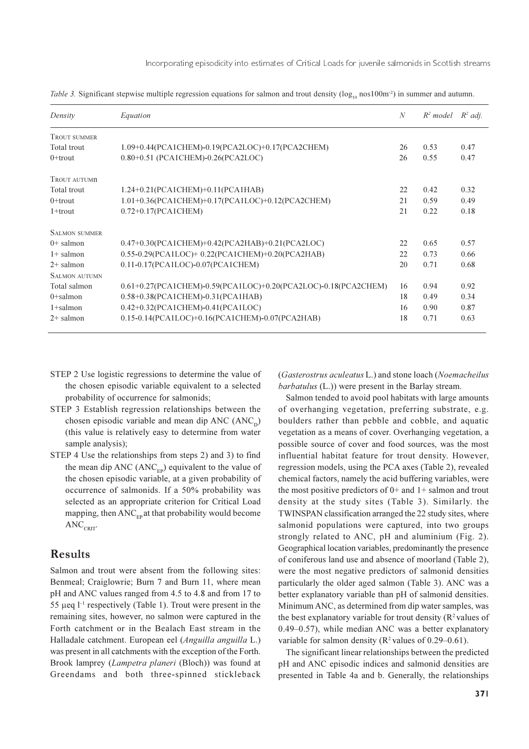Table 3. Significant stepwise multiple regression equations for salmon and trout density ( $log<sub>0</sub>$  nos $100m<sup>-2</sup>$ ) in summer and autumn.

| Density              | Equation                                                       | $\mathcal N$ | $R^2$ model | $R^2$ adj. |
|----------------------|----------------------------------------------------------------|--------------|-------------|------------|
| <b>TROUT SUMMER</b>  |                                                                |              |             |            |
| Total trout          | 1.09+0.44(PCA1CHEM)-0.19(PCA2LOC)+0.17(PCA2CHEM)               | 26           | 0.53        | 0.47       |
| $0+$ trout           | 0.80+0.51 (PCA1CHEM)-0.26(PCA2LOC)                             | 26           | 0.55        | 0.47       |
| <b>TROUT AUTUMN</b>  |                                                                |              |             |            |
| Total trout          | 1.24+0.21(PCA1CHEM)+0.11(PCA1HAB)                              | 22           | 0.42        | 0.32       |
| $0+$ trout           | 1.01+0.36(PCA1CHEM)+0.17(PCA1LOC)+0.12(PCA2CHEM)               | 21           | 0.59        | 0.49       |
| $1+$ trout           | $0.72+0.17$ (PCA1CHEM)                                         | 21           | 0.22        | 0.18       |
| <b>SALMON SUMMER</b> |                                                                |              |             |            |
| $0+$ salmon          | 0.47+0.30(PCA1CHEM)+0.42(PCA2HAB)+0.21(PCA2LOC)                | 22.          | 0.65        | 0.57       |
| $1+$ salmon          | 0.55-0.29(PCA1LOC)+0.22(PCA1CHEM)+0.20(PCA2HAB)                | 22           | 0.73        | 0.66       |
| $2+$ salmon          | 0.11-0.17(PCA1LOC)-0.07(PCA1CHEM)                              | 20           | 0.71        | 0.68       |
| <b>SALMON AUTUMN</b> |                                                                |              |             |            |
| Total salmon         | 0.61+0.27(PCA1CHEM)-0.59(PCA1LOC)+0.20(PCA2LOC)-0.18(PCA2CHEM) | 16           | 0.94        | 0.92       |
| $0+$ salmon          | 0.58+0.38(PCA1CHEM)-0.31(PCA1HAB)                              | 18           | 0.49        | 0.34       |
| $1 +$ salmon         | 0.42+0.32(PCA1CHEM)-0.41(PCA1LOC)                              | 16           | 0.90        | 0.87       |
| $2+$ salmon          | 0.15-0.14(PCA1LOC)+0.16(PCA1CHEM)-0.07(PCA2HAB)                | 18           | 0.71        | 0.63       |

- STEP 2 Use logistic regressions to determine the value of the chosen episodic variable equivalent to a selected probability of occurrence for salmonids;
- STEP 3 Establish regression relationships between the chosen episodic variable and mean dip ANC  $(ANC<sub>n</sub>)$ (this value is relatively easy to determine from water sample analysis);
- STEP 4 Use the relationships from steps 2) and 3) to find the mean dip ANC  $(ANC<sub>EP</sub>)$  equivalent to the value of the chosen episodic variable, at a given probability of occurrence of salmonids. If a 50% probability was selected as an appropriate criterion for Critical Load mapping, then ANC<sub>ED</sub> at that probability would become  $\text{ANC}_\text{CRIT}$

## **Results**

Salmon and trout were absent from the following sites: Benmeal; Craiglowrie; Burn 7 and Burn 11, where mean pH and ANC values ranged from 4.5 to 4.8 and from 17 to 55 µeq  $l^{-1}$  respectively (Table 1). Trout were present in the remaining sites, however, no salmon were captured in the Forth catchment or in the Bealach East stream in the Halladale catchment. European eel (Anguilla anguilla L.) was present in all catchments with the exception of the Forth. Brook lamprey (Lampetra planeri (Bloch)) was found at Greendams and both three-spinned stickleback (Gasterostrus aculeatus L.) and stone loach (Noemacheilus *barbatulus* (L.)) were present in the Barlay stream.

Salmon tended to avoid pool habitats with large amounts of overhanging vegetation, preferring substrate, e.g. boulders rather than pebble and cobble, and aquatic vegetation as a means of cover. Overhanging vegetation, a possible source of cover and food sources, was the most influential habitat feature for trout density. However, regression models, using the PCA axes (Table 2), revealed chemical factors, namely the acid buffering variables, were the most positive predictors of  $0+$  and  $1+$  salmon and trout density at the study sites (Table 3). Similarly, the TWINSPAN classification arranged the 22 study sites, where salmonid populations were captured, into two groups strongly related to ANC, pH and aluminium (Fig. 2). Geographical location variables, predominantly the presence of coniferous land use and absence of moorland (Table 2), were the most negative predictors of salmonid densities particularly the older aged salmon (Table 3). ANC was a better explanatory variable than pH of salmonid densities. Minimum ANC, as determined from dip water samples, was the best explanatory variable for trout density ( $\mathbb{R}^2$  values of  $0.49 - 0.57$ ), while median ANC was a better explanatory variable for salmon density ( $R^2$  values of 0.29–0.61).

The significant linear relationships between the predicted pH and ANC episodic indices and salmonid densities are presented in Table 4a and b. Generally, the relationships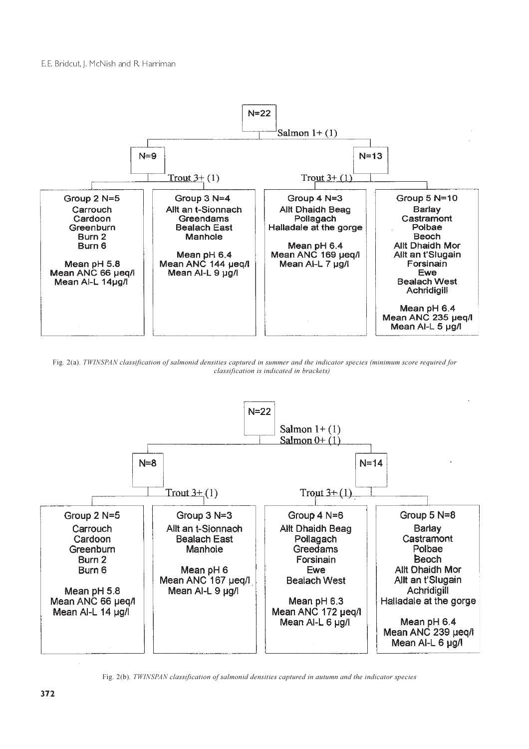

Fig. 2(a). TWINSPAN classification of salmonid densities captured in summer and the indicator species (minimum score required for classification is indicated in brackets)



Fig. 2(b). TWINSPAN classification of salmonid densities captured in autumn and the indicator species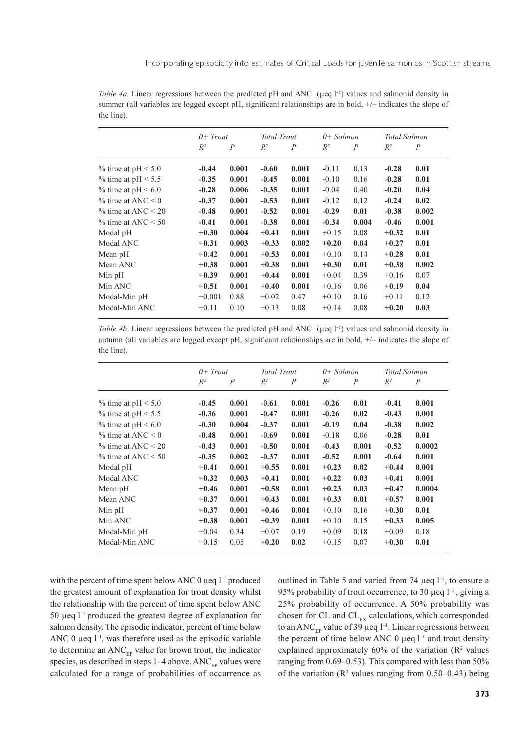Table 4a. Linear regressions between the predicted pH and ANC ( $\mu$ eq  $\uparrow$ <sup>1</sup>) values and salmonid density in summer (all variables are logged except pH, significant relationships are in bold,  $+/-$  indicates the slope of the line).

|                            | $0+$ Trout |                | <b>Total Trout</b> |                | $0+$ Salmon |                  | Total Salmon |                |
|----------------------------|------------|----------------|--------------------|----------------|-------------|------------------|--------------|----------------|
|                            | $R^2$      | $\overline{P}$ | $R^2$              | $\overline{P}$ | $R^2$       | $\boldsymbol{P}$ | $R^2$        | $\overline{P}$ |
| $\%$ time at pH $\leq$ 5.0 | $-0.44$    | 0.001          | $-0.60$            | 0.001          | $-0.11$     | 0.13             | $-0.28$      | 0.01           |
| % time at $pH \le 5.5$     | $-0.35$    | 0.001          | $-0.45$            | 0.001          | $-0.10$     | 0.16             | $-0.28$      | 0.01           |
| % time at $pH < 6.0$       | $-0.28$    | 0.006          | $-0.35$            | 0.001          | $-0.04$     | 0.40             | $-0.20$      | 0.04           |
| $\%$ time at ANC < 0       | $-0.37$    | 0.001          | $-0.53$            | 0.001          | $-0.12$     | 0.12             | $-0.24$      | 0.02           |
| $\%$ time at ANC $\leq$ 20 | $-0.48$    | 0.001          | $-0.52$            | 0.001          | $-0.29$     | 0.01             | $-0.38$      | 0.002          |
| $\%$ time at ANC $\leq 50$ | $-0.41$    | 0.001          | $-0.38$            | 0.001          | $-0.34$     | 0.004            | $-0.46$      | 0.001          |
| Modal pH                   | $+0.30$    | 0.004          | $+0.41$            | 0.001          | $+0.15$     | 0.08             | $+0.32$      | 0.01           |
| Modal ANC                  | $+0.31$    | 0.003          | $+0.33$            | 0.002          | $+0.20$     | 0.04             | $+0.27$      | 0.01           |
| Mean pH                    | $+0.42$    | 0.001          | $+0.53$            | 0.001          | $+0.10$     | 0.14             | $+0.28$      | 0.01           |
| Mean ANC                   | $+0.38$    | 0.001          | $+0.38$            | 0.001          | $+0.30$     | 0.01             | $+0.38$      | 0.002          |
| Min pH                     | $+0.39$    | 0.001          | $+0.44$            | 0.001          | $+0.04$     | 0.39             | $+0.16$      | 0.07           |
| Min ANC                    | $+0.51$    | 0.001          | $+0.40$            | 0.001          | $+0.16$     | 0.06             | $+0.19$      | 0.04           |
| Modal-Min pH               | $+0.001$   | 0.88           | $+0.02$            | 0.47           | $+0.10$     | 0.16             | $+0.11$      | 0.12           |
| Modal-Min ANC              | $+0.11$    | 0.10           | $+0.13$            | 0.08           | $+0.14$     | 0.08             | $+0.20$      | 0.03           |

Table 4b. Linear regressions between the predicted pH and ANC ( $\mu$ eq  $l^{-1}$ ) values and salmonid density in autumn (all variables are logged except pH, significant relationships are in bold, +/- indicates the slope of the line).

|                            | $0+$ Trout |                | <b>Total Trout</b> |                | $0+$ Salmon |                | Total Salmon |                |
|----------------------------|------------|----------------|--------------------|----------------|-------------|----------------|--------------|----------------|
|                            | $R^2$      | $\overline{P}$ | $R^2$              | $\overline{P}$ | $R^2$       | $\overline{P}$ | $R^2$        | $\overline{P}$ |
| % time at $pH < 5.0$       | $-0.45$    | 0.001          | $-0.61$            | 0.001          | $-0.26$     | 0.01           | $-0.41$      | 0.001          |
| % time at $pH \le 5.5$     | $-0.36$    | 0.001          | $-0.47$            | 0.001          | $-0.26$     | 0.02           | $-0.43$      | 0.001          |
| % time at $pH \le 6.0$     | $-0.30$    | 0.004          | $-0.37$            | 0.001          | $-0.19$     | 0.04           | $-0.38$      | 0.002          |
| $\%$ time at ANC $\leq 0$  | $-0.48$    | 0.001          | $-0.69$            | 0.001          | $-0.18$     | 0.06           | $-0.28$      | 0.01           |
| $\%$ time at ANC $\leq$ 20 | $-0.43$    | 0.001          | $-0.50$            | 0.001          | $-0.43$     | 0.001          | $-0.52$      | 0.0002         |
| $\%$ time at ANC $\leq 50$ | $-0.35$    | 0.002          | $-0.37$            | 0.001          | $-0.52$     | 0.001          | $-0.64$      | 0.001          |
| Modal pH                   | $+0.41$    | 0.001          | $+0.55$            | 0.001          | $+0.23$     | 0.02           | $+0.44$      | 0.001          |
| Modal ANC                  | $+0.32$    | 0.003          | $+0.41$            | 0.001          | $+0.22$     | 0.03           | $+0.41$      | 0.001          |
| Mean pH                    | $+0.46$    | 0.001          | $+0.58$            | 0.001          | $+0.23$     | 0.03           | $+0.47$      | 0.0004         |
| Mean ANC                   | $+0.37$    | 0.001          | $+0.43$            | 0.001          | $+0.33$     | 0.01           | $+0.57$      | 0.001          |
| Min pH                     | $+0.37$    | 0.001          | $+0.46$            | 0.001          | $+0.10$     | 0.16           | $+0.30$      | 0.01           |
| Min ANC                    | $+0.38$    | 0.001          | $+0.39$            | 0.001          | $+0.10$     | 0.15           | $+0.33$      | 0.005          |
| Modal-Min pH               | $+0.04$    | 0.34           | $+0.07$            | 0.19           | $+0.09$     | 0.18           | $+0.09$      | 0.18           |
| Modal-Min ANC              | $+0.15$    | 0.05           | $+0.20$            | 0.02           | $+0.15$     | 0.07           | $+0.30$      | 0.01           |

with the percent of time spent below ANC 0  $\mu$ eq  $l^{-1}$  produced the greatest amount of explanation for trout density whilst the relationship with the percent of time spent below ANC 50 µeq  $l^{-1}$  produced the greatest degree of explanation for salmon density. The episodic indicator, percent of time below ANC 0  $\mu$ eq  $l^{-1}$ , was therefore used as the episodic variable to determine an ANC<sub>EP</sub> value for brown trout, the indicator species, as described in steps  $1-4$  above. ANC<sub>FP</sub> values were calculated for a range of probabilities of occurrence as outlined in Table 5 and varied from 74  $\mu$ eq  $l^{-1}$ , to ensure a 95% probability of trout occurrence, to 30  $\mu$ eq  $l^{-1}$ , giving a 25% probability of occurrence. A 50% probability was chosen for CL and CL<sub>EX</sub> calculations, which corresponded to an ANC<sub>ED</sub> value of 39 µeq  $l^{-1}$ . Linear regressions between the percent of time below ANC 0  $\mu$ eq  $l^{-1}$  and trout density explained approximately 60% of the variation  $(R^2 \text{ values})$ ranging from  $0.69-0.53$ ). This compared with less than  $50\%$ of the variation ( $\mathbb{R}^2$  values ranging from 0.50–0.43) being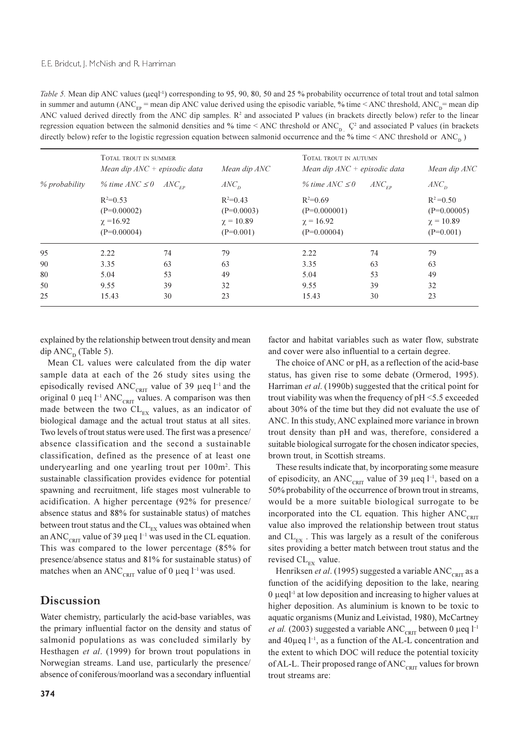Table 5. Mean dip ANC values (µeql<sup>-1</sup>) corresponding to 95, 90, 80, 50 and 25 % probability occurrence of total trout and total salmon in summer and autumn (ANC<sub>FP</sub> = mean dip ANC value derived using the episodic variable, % time < ANC threshold, ANC<sub>p</sub>= mean dip ANC valued derived directly from the ANC dip samples. R<sup>2</sup> and associated P values (in brackets directly below) refer to the linear regression equation between the salmonid densities and % time < ANC threshold or ANC<sub>p</sub>  $\zeta^2$  and associated P values (in brackets directly below) refer to the logistic regression equation between salmonid occurrence and the % time < ANC threshold or ANC<sub>n</sub>)

|               | TOTAL TROUT IN SUMMER<br>Mean dip $\text{ANC}$ + episodic data | Mean dip ANC                                                |                                                                   | TOTAL TROUT IN AUTUMN<br>Mean dip $\text{ANC}$ + episodic data<br>% time $\text{ANC} \leq 0$<br>$ANC_{\scriptscriptstyle FP}$ |                                                                |  |
|---------------|----------------------------------------------------------------|-------------------------------------------------------------|-------------------------------------------------------------------|-------------------------------------------------------------------------------------------------------------------------------|----------------------------------------------------------------|--|
| % probability | % time $\text{ANC} \leq 0$                                     | ANC <sub>n</sub><br>$ANC_{\scriptscriptstyle FP}$           |                                                                   |                                                                                                                               |                                                                |  |
|               | $R^2=0.53$<br>$(P=0.00002)$<br>$\chi = 16.92$<br>$(P=0.00004)$ | $R^2=0.43$<br>$(P=0.0003)$<br>$\chi = 10.89$<br>$(P=0.001)$ | $R^2=0.69$<br>$(P=0.000001)$<br>$\gamma = 16.92$<br>$(P=0.00004)$ |                                                                                                                               | $R^2 = 0.50$<br>$(P=0.00005)$<br>$\chi = 10.89$<br>$(P=0.001)$ |  |
| 95            | 2.22<br>74                                                     | 79                                                          | 2.22                                                              | 74                                                                                                                            | 79                                                             |  |
| 90            | 63<br>3.35                                                     | 63                                                          | 3.35                                                              | 63                                                                                                                            | 63                                                             |  |
| 80            | 5.04<br>53                                                     | 49                                                          | 5.04                                                              | 53                                                                                                                            | 49                                                             |  |
| 50            | 39<br>9.55                                                     | 32                                                          | 9.55                                                              | 39                                                                                                                            | 32                                                             |  |
| 25            | 15.43<br>30                                                    | 23                                                          | 15.43                                                             | 30                                                                                                                            | 23                                                             |  |

explained by the relationship between trout density and mean dip  $\text{ANC}_p$  (Table 5).

Mean CL values were calculated from the dip water sample data at each of the 26 study sites using the episodically revised ANC<sub>CRIT</sub> value of 39 µeq  $l^{-1}$  and the original 0  $\mu$ eq l<sup>-1</sup> ANC<sub>CRIT</sub> values. A comparison was then made between the two  $CL_{EX}$  values, as an indicator of biological damage and the actual trout status at all sites. Two levels of trout status were used. The first was a presence/ absence classification and the second a sustainable classification, defined as the presence of at least one underyearling and one yearling trout per 100m<sup>2</sup>. This sustainable classification provides evidence for potential spawning and recruitment, life stages most vulnerable to acidification. A higher percentage (92% for presence/ absence status and 88% for sustainable status) of matches between trout status and the  $CL_{\text{ex}}$  values was obtained when an ANC<sub>CRIT</sub> value of 39 µeq  $l^{-1}$  was used in the CL equation. This was compared to the lower percentage (85% for presence/absence status and 81% for sustainable status) of matches when an ANC<sub>CRIT</sub> value of 0 µeq  $l^{-1}$  was used.

## Discussion

Water chemistry, particularly the acid-base variables, was the primary influential factor on the density and status of salmonid populations as was concluded similarly by Hesthagen et al. (1999) for brown trout populations in Norwegian streams. Land use, particularly the presence/ absence of coniferous/moorland was a secondary influential

factor and habitat variables such as water flow, substrate and cover were also influential to a certain degree.

The choice of ANC or pH, as a reflection of the acid-base status, has given rise to some debate (Ormerod, 1995). Harriman et al. (1990b) suggested that the critical point for trout viability was when the frequency of pH <5.5 exceeded about 30% of the time but they did not evaluate the use of ANC. In this study, ANC explained more variance in brown trout density than pH and was, therefore, considered a suitable biological surrogate for the chosen indicator species, brown trout, in Scottish streams.

These results indicate that, by incorporating some measure of episodicity, an ANC<sub>CRIT</sub> value of 39 µeq  $l^{-1}$ , based on a 50% probability of the occurrence of brown trout in streams, would be a more suitable biological surrogate to be incorporated into the CL equation. This higher ANC<sub>CRIT</sub> value also improved the relationship between trout status and  $CL_{\text{ex}}$ . This was largely as a result of the coniferous sites providing a better match between trout status and the revised  $CL_{EX}$  value.

Henriksen et al. (1995) suggested a variable  $\text{ANC}_{\text{corr}}$  as a function of the acidifying deposition to the lake, nearing  $\alpha$  µeql<sup>-1</sup> at low deposition and increasing to higher values at higher deposition. As aluminium is known to be toxic to aquatic organisms (Muniz and Leivistad, 1980), McCartney *et al.* (2003) suggested a variable ANC<sub>CRIT</sub> between 0 µeq  $l^{-1}$ and  $40\mu$ eq  $l^{-1}$ , as a function of the AL-L concentration and the extent to which DOC will reduce the potential toxicity of AL-L. Their proposed range of ANC<sub>CRIT</sub> values for brown trout streams are: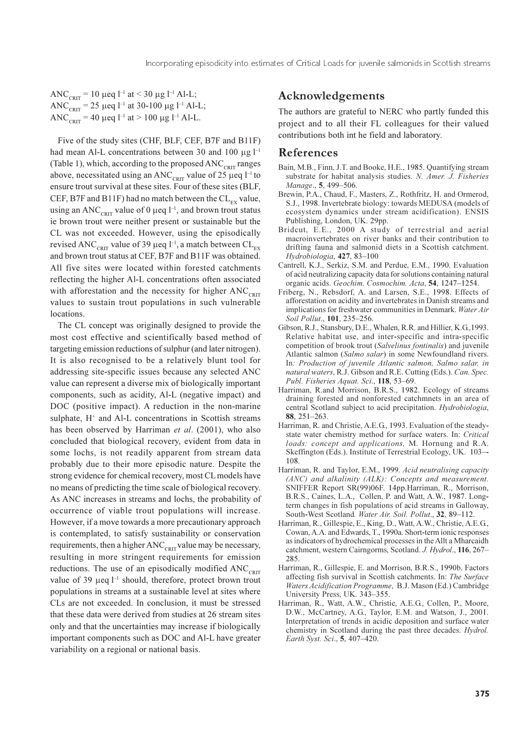ANC<sub>CRIT</sub> = 10  $\mu$ eq l<sup>-1</sup> at < 30  $\mu$ g l<sup>-1</sup> Al-L; ANC<sub>CRIT</sub> = 25 µeq l<sup>-1</sup> at 30-100 µg l<sup>-1</sup> Al-L; ANC<sub>CRIT</sub> = 40 µeq l<sup>-1</sup> at > 100 µg l<sup>-1</sup> Al-L.

Five of the study sites (CHF, BLF, CEF, B7F and B11F) had mean Al-L concentrations between 30 and 100  $\mu$ g l<sup>-1</sup> (Table 1), which, according to the proposed ANC<sub>CRIT</sub> ranges above, necessitated using an ANC<sub>CRIT</sub> value of 25 µeq  $l^{-1}$  to ensure trout survival at these sites. Four of these sites (BLF, CEF, B7F and B11F) had no match between the  $CL_{\text{rv}}$  value, using an ANC<sub>CRIT</sub> value of 0 µeq  $l^{-1}$ , and brown trout status ie brown trout were neither present or sustainable but the CL was not exceeded. However, using the episodically revised ANC<sub>CRIT</sub> value of 39 µeq  $l^{-1}$ , a match between CL<sub>EX</sub> and brown trout status at CEF, B7F and B11F was obtained. All five sites were located within forested catchments reflecting the higher Al-L concentrations often associated with afforestation and the necessity for higher  $\text{ANC}_{\text{corr}}$ values to sustain trout populations in such vulnerable locations.

The CL concept was originally designed to provide the most cost effective and scientifically based method of targeting emission reductions of sulphur (and later nitrogen). It is also recognised to be a relatively blunt tool for addressing site-specific issues because any selected ANC value can represent a diverse mix of biologically important components, such as acidity, Al-L (negative impact) and DOC (positive impact). A reduction in the non-marine sulphate, H<sup>+</sup> and Al-L concentrations in Scottish streams has been observed by Harriman et al. (2001), who also concluded that biological recovery, evident from data in some lochs, is not readily apparent from stream data probably due to their more episodic nature. Despite the strong evidence for chemical recovery, most CL models have no means of predicting the time scale of biological recovery. As ANC increases in streams and lochs, the probability of occurrence of viable trout populations will increase. However, if a move towards a more precautionary approach is contemplated, to satisfy sustainability or conservation requirements, then a higher  $\text{ANC}_{\text{CRIT}}$  value may be necessary, resulting in more stringent requirements for emission reductions. The use of an episodically modified ANC<sub>CRIT</sub> value of 39  $\mu$ eq  $l^{-1}$  should, therefore, protect brown trout populations in streams at a sustainable level at sites where CLs are not exceeded. In conclusion, it must be stressed that these data were derived from studies at 26 stream sites only and that the uncertainties may increase if biologically important components such as DOC and Al-L have greater variability on a regional or national basis.

## Acknowledgements

The authors are grateful to NERC who partly funded this project and to all their FL colleagues for their valued contributions both int he field and laboratory.

#### References

- Bain, M.B., Finn, J.T. and Booke, H.E., 1985. Quantifying stream substrate for habitat analysis studies. N. Amer. J. Fisheries Manage., 5, 499-506.
- Brewin, P.A., Chaud, F., Masters, Z., Rothfritz, H. and Ormerod, S.J., 1998. Invertebrate biology: towards MEDUSA (models of ecosystem dynamics under stream acidification). ENSIS Publishing, London, UK. 29pp.
- Bridcut, E.E., 2000 A study of terrestrial and aerial macroinvertebrates on river banks and their contribution to drifting fauna and salmonid diets in a Scottish catchment. Hydrobiologia, 427, 83-100
- Cantrell, K.J., Serkiz, S.M. and Perdue, E.M., 1990. Evaluation of acid neutralizing capacity data for solutions containing natural organic acids. Geochim. Cosmochim. Acta, 54, 1247-1254.
- Friberg, N., Rebsdorf, A. and Larsen, S.E., 1998. Effects of afforestation on acidity and invertebrates in Danish streams and implications for freshwater communities in Denmark. Water Air Soil Pollut., 101, 235-256.
- Gibson, R.J., Stansbury, D.E., Whalen, R.R. and Hillier, K.G. 1993. Relative habitat use, and inter-specific and intra-specific competition of brook trout (Salvelinus fontinalis) and juvenile Atlantic salmon (Salmo salar) in some Newfoundland rivers. In: Production of juvenile Atlantic salmon, Salmo salar, in natural waters, R.J. Gibson and R.E. Cutting (Eds.). Can. Spec. Publ. Fisheries Aquat. Sci., 118, 53-69.
- Harriman, R.and Morrison, B.R.S., 1982. Ecology of streams draining forested and nonforested catchmnets in an area of central Scotland subject to acid precipitation. Hydrobiologia, 88, 251-263.
- Harriman, R. and Christie, A.E.G., 1993. Evaluation of the steadystate water chemistry method for surface waters. In: Critical loads: concept and applications, M. Hornung and R.A. Skeffington (Eds.). Institute of Terrestrial Ecology, UK. 103-108.
- Harriman, R. and Taylor, E.M., 1999. Acid neutralising capacity  $(ANC)$  and alkalinity  $(ALK)$ : Concepts and measurement. SNIFFER Report SR(99)06F. 14pp.Harriman, R., Morrison, B.R.S., Caines, L.A., Collen, P. and Watt, A.W., 1987. Longterm changes in fish populations of acid streams in Galloway, South-West Scotland. Water Air. Soil. Pollut., 32, 89-112.
- Harriman, R., Gillespie, E., King, D., Watt, A.W., Christie, A.E.G., Cowan, A.A. and Edwards, T., 1990a. Short-term ionic responses as indicators of hydrochemical processes in the Allt a Mharcaidh catchment, western Cairngorms, Scotland. J. Hydrol., 116, 267– 285.
- Harriman, R., Gillespie, E. and Morrison, B.R.S., 1990b. Factors affecting fish survival in Scottish catchments. In: The Surface Waters Acidification Programme, B.J. Mason (Ed.) Cambridge University Press, UK. 343-355.
- Harriman, R., Watt, A.W., Christie, A.E.G., Collen, P., Moore, D.W., McCartney, A.G., Taylor, E.M. and Watson, J., 2001. Interpretation of trends in acidic deposition and surface water chemistry in Scotland during the past three decades. Hydrol. Earth Syst. Sci., 5, 407-420.